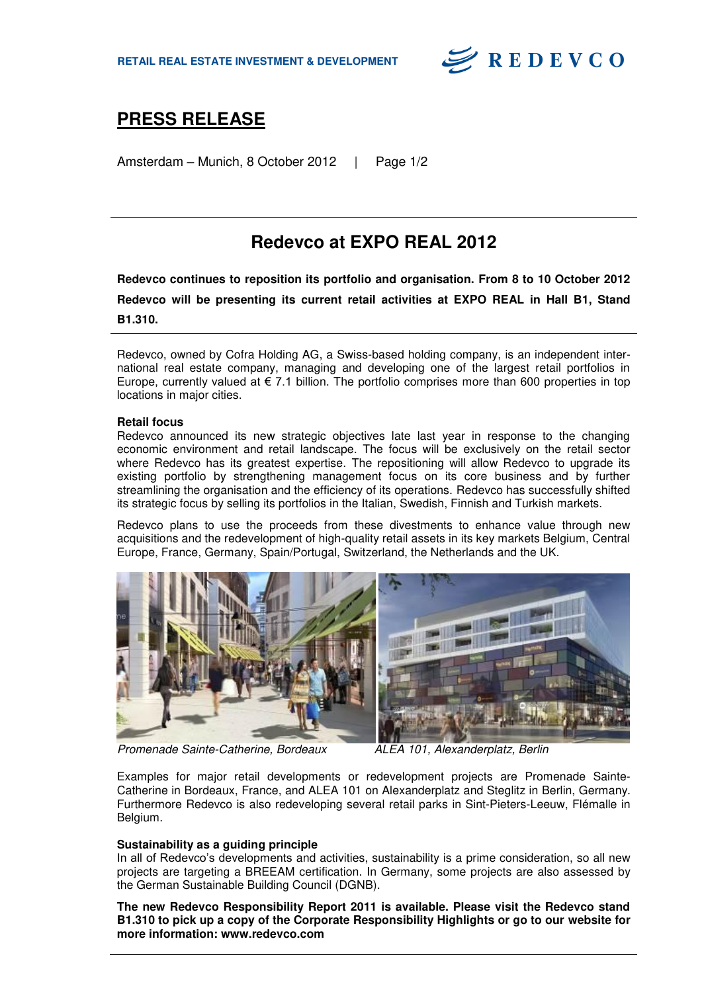

# **PRESS RELEASE**

Amsterdam – Munich, 8 October 2012 | Page 1/2

# **Redevco at EXPO REAL 2012**

**Redevco continues to reposition its portfolio and organisation. From 8 to 10 October 2012 Redevco will be presenting its current retail activities at EXPO REAL in Hall B1, Stand B1.310.** 

Redevco, owned by Cofra Holding AG, a Swiss-based holding company, is an independent international real estate company, managing and developing one of the largest retail portfolios in Europe, currently valued at  $\epsilon$  7.1 billion. The portfolio comprises more than 600 properties in top locations in major cities.

### **Retail focus**

Redevco announced its new strategic objectives late last year in response to the changing economic environment and retail landscape. The focus will be exclusively on the retail sector where Redevco has its greatest expertise. The repositioning will allow Redevco to upgrade its existing portfolio by strengthening management focus on its core business and by further streamlining the organisation and the efficiency of its operations. Redevco has successfully shifted its strategic focus by selling its portfolios in the Italian, Swedish, Finnish and Turkish markets.

Redevco plans to use the proceeds from these divestments to enhance value through new acquisitions and the redevelopment of high-quality retail assets in its key markets Belgium, Central Europe, France, Germany, Spain/Portugal, Switzerland, the Netherlands and the UK.



*Promenade Sainte-Catherine, Bordeaux ALEA 101, Alexanderplatz, Berlin*

Examples for major retail developments or redevelopment projects are Promenade Sainte-Catherine in Bordeaux, France, and ALEA 101 on Alexanderplatz and Steglitz in Berlin, Germany. Furthermore Redevco is also redeveloping several retail parks in Sint-Pieters-Leeuw, Flémalle in Belgium.

#### **Sustainability as a guiding principle**

In all of Redevco's developments and activities, sustainability is a prime consideration, so all new projects are targeting a BREEAM certification. In Germany, some projects are also assessed by the German Sustainable Building Council (DGNB).

**The new Redevco Responsibility Report 2011 is available. Please visit the Redevco stand B1.310 to pick up a copy of the Corporate Responsibility Highlights or go to our website for more information: www.redevco.com**